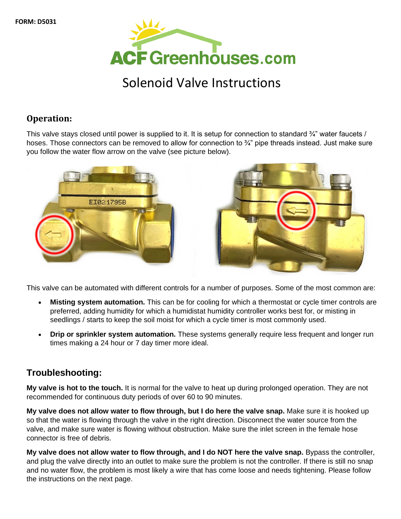

## Solenoid Valve Instructions

## **Operation:**

This valve stays closed until power is supplied to it. It is setup for connection to standard  $\frac{3}{4}$ " water faucets / hoses. Those connectors can be removed to allow for connection to  $\frac{3}{4}$ " pipe threads instead. Just make sure you follow the water flow arrow on the valve (see picture below).





This valve can be automated with different controls for a number of purposes. Some of the most common are:

- **Misting system automation.** This can be for cooling for which a thermostat or cycle timer controls are preferred, adding humidity for which a humidistat humidity controller works best for, or misting in seedlings / starts to keep the soil moist for which a cycle timer is most commonly used.
- **Drip or sprinkler system automation.** These systems generally require less frequent and longer run times making a 24 hour or 7 day timer more ideal.

## **Troubleshooting:**

**My valve is hot to the touch.** It is normal for the valve to heat up during prolonged operation. They are not recommended for continuous duty periods of over 60 to 90 minutes.

**My valve does not allow water to flow through, but I do here the valve snap.** Make sure it is hooked up so that the water is flowing through the valve in the right direction. Disconnect the water source from the valve, and make sure water is flowing without obstruction. Make sure the inlet screen in the female hose connector is free of debris.

**My valve does not allow water to flow through, and I do NOT here the valve snap.** Bypass the controller, and plug the valve directly into an outlet to make sure the problem is not the controller. If there is still no snap and no water flow, the problem is most likely a wire that has come loose and needs tightening. Please follow the instructions on the next page.